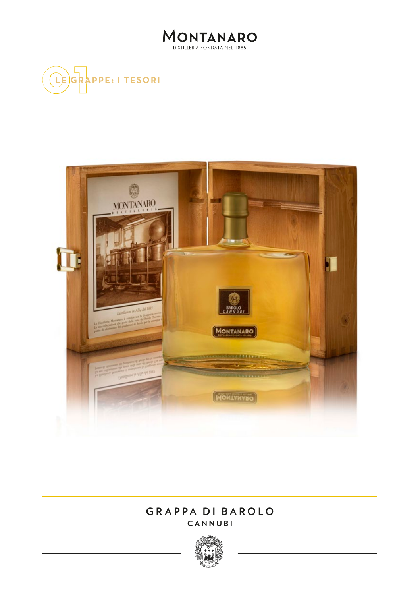





## **GRAPPA DI BAROLO CANNUBI**